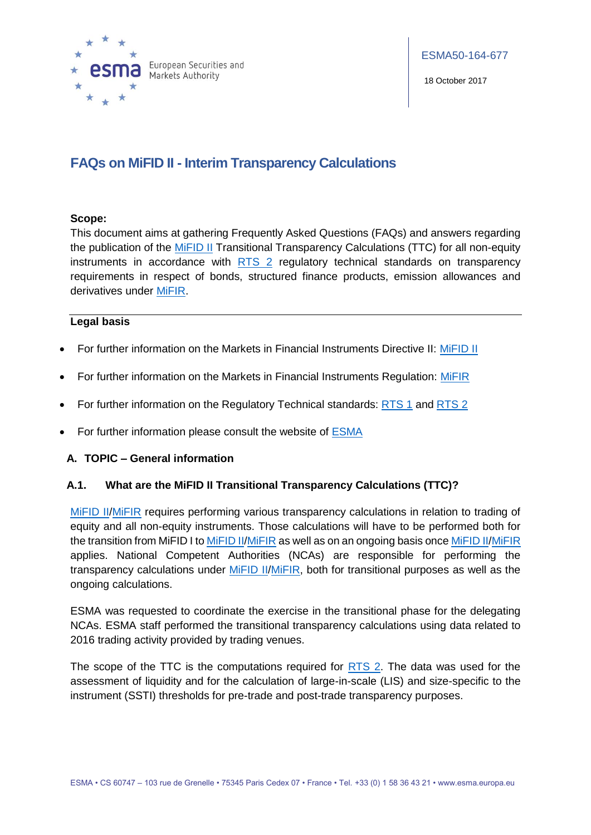

18 October 2017

# **FAQs on MiFID II - Interim Transparency Calculations**

#### **Scope:**

This document aims at gathering Frequently Asked Questions (FAQs) and answers regarding the publication of the [MiFID II](http://eur-lex.europa.eu/legal-content/EN/TXT/?uri=CELEX:32014L0065) Transitional Transparency Calculations (TTC) for all non-equity instruments in accordance with [RTS 2](http://eur-lex.europa.eu/legal-content/EN/TXT/PDF/?uri=CELEX:32017R0583&from=EN) regulatory technical standards on transparency requirements in respect of bonds, structured finance products, emission allowances and derivatives under [MiFIR.](http://eur-lex.europa.eu/legal-content/EN/TXT/?uri=CELEX:32014R0600)

# **Legal basis**

- For further information on the Markets in Financial Instruments Directive II: [MiFID II](http://eur-lex.europa.eu/legal-content/EN/TXT/?uri=CELEX:32014L0065)
- For further information on the Markets in Financial Instruments Regulation: [MiFIR](http://eur-lex.europa.eu/legal-content/EN/TXT/?uri=CELEX:32014R0600)
- For further information on the Regulatory Technical standards: [RTS](http://ec.europa.eu/finance/securities/docs/isd/mifid/rts/160714-rts-1_en.pdf) 1 and [RTS 2](http://eur-lex.europa.eu/legal-content/EN/TXT/PDF/?uri=CELEX:32017R0583&from=EN)
- For further information please consult the website of [ESMA](https://www.esma.europa.eu/)

#### **A. TOPIC – General information**

#### **A.1. What are the MiFID II Transitional Transparency Calculations (TTC)?**

[MiFID II](http://eur-lex.europa.eu/legal-content/EN/TXT/?uri=CELEX:32014L0065)[/MiFIR](http://eur-lex.europa.eu/legal-content/EN/TXT/?uri=CELEX:32014R0600) requires performing various transparency calculations in relation to trading of equity and all non-equity instruments. Those calculations will have to be performed both for the transition from MiFID I t[o MiFID II](http://eur-lex.europa.eu/legal-content/EN/TXT/?uri=CELEX:32014L0065)[/MiFIR](http://eur-lex.europa.eu/legal-content/EN/TXT/?uri=CELEX:32014R0600) as well as on an ongoing basis onc[e MiFID II](http://eur-lex.europa.eu/legal-content/EN/TXT/?uri=CELEX:32014L0065)[/MiFIR](http://eur-lex.europa.eu/legal-content/EN/TXT/?uri=CELEX:32014R0600) applies. National Competent Authorities (NCAs) are responsible for performing the transparency calculations under [MiFID II](http://eur-lex.europa.eu/legal-content/EN/TXT/?uri=CELEX:32014L0065)[/MiFIR,](http://eur-lex.europa.eu/legal-content/EN/TXT/?uri=CELEX:32014R0600) both for transitional purposes as well as the ongoing calculations.

ESMA was requested to coordinate the exercise in the transitional phase for the delegating NCAs. ESMA staff performed the transitional transparency calculations using data related to 2016 trading activity provided by trading venues.

The scope of the TTC is the computations required for [RTS 2.](http://eur-lex.europa.eu/legal-content/EN/TXT/PDF/?uri=CELEX:32017R0583&from=EN) The data was used for the assessment of liquidity and for the calculation of large-in-scale (LIS) and size-specific to the instrument (SSTI) thresholds for pre-trade and post-trade transparency purposes.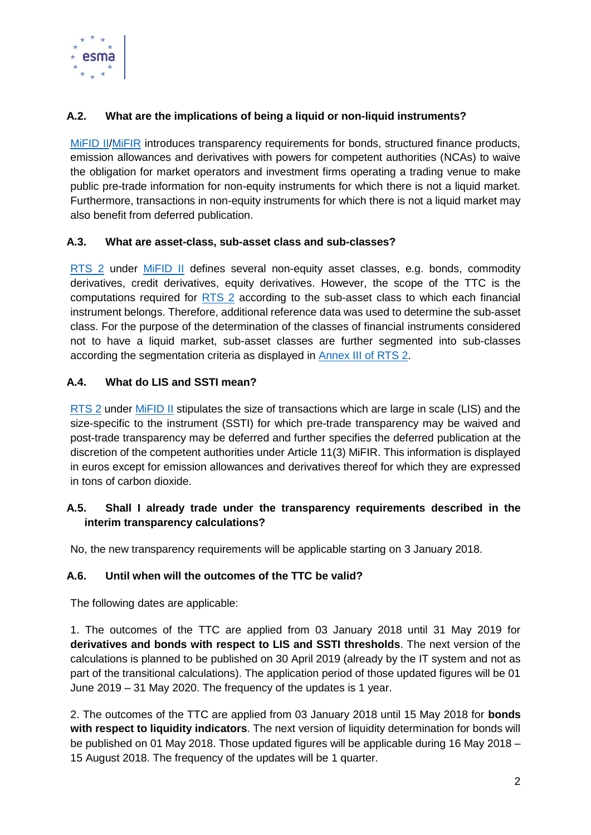

# **A.2. What are the implications of being a liquid or non-liquid instruments?**

MIFID II/MIFIR introduces transparency requirements for bonds, structured finance products, emission allowances and derivatives with powers for competent authorities (NCAs) to waive the obligation for market operators and investment firms operating a trading venue to make public pre-trade information for non-equity instruments for which there is not a liquid market. Furthermore, transactions in non-equity instruments for which there is not a liquid market may also benefit from deferred publication.

#### **A.3. What are asset-class, sub-asset class and sub-classes?**

[RTS 2](http://eur-lex.europa.eu/legal-content/EN/TXT/PDF/?uri=CELEX:32017R0583&from=EN) under [MiFID II](http://eur-lex.europa.eu/legal-content/EN/TXT/?uri=CELEX:32014L0065) defines several non-equity asset classes, e.g. bonds, commodity derivatives, credit derivatives, equity derivatives. However, the scope of the TTC is the computations required for [RTS 2](http://eur-lex.europa.eu/legal-content/EN/TXT/PDF/?uri=CELEX:32017R0583&from=EN) according to the sub-asset class to which each financial instrument belongs. Therefore, additional reference data was used to determine the sub-asset class. For the purpose of the determination of the classes of financial instruments considered not to have a liquid market, sub-asset classes are further segmented into sub-classes according the segmentation criteria as displayed in [Annex III of RTS 2.](http://eur-lex.europa.eu/legal-content/EN/TXT/PDF/?uri=CELEX:32017R0583&from=EN)

# **A.4. What do LIS and SSTI mean?**

[RTS 2](http://eur-lex.europa.eu/legal-content/EN/TXT/PDF/?uri=CELEX:32017R0583&from=EN) under [MiFID II](http://eur-lex.europa.eu/legal-content/EN/TXT/?uri=CELEX:32014L0065) stipulates the size of transactions which are large in scale (LIS) and the size-specific to the instrument (SSTI) for which pre-trade transparency may be waived and post-trade transparency may be deferred and further specifies the deferred publication at the discretion of the competent authorities under Article 11(3) MiFIR. This information is displayed in euros except for emission allowances and derivatives thereof for which they are expressed in tons of carbon dioxide.

# **A.5. Shall I already trade under the transparency requirements described in the interim transparency calculations?**

No, the new transparency requirements will be applicable starting on 3 January 2018.

# **A.6. Until when will the outcomes of the TTC be valid?**

The following dates are applicable:

1. The outcomes of the TTC are applied from 03 January 2018 until 31 May 2019 for **derivatives and bonds with respect to LIS and SSTI thresholds**. The next version of the calculations is planned to be published on 30 April 2019 (already by the IT system and not as part of the transitional calculations). The application period of those updated figures will be 01 June 2019 – 31 May 2020. The frequency of the updates is 1 year.

2. The outcomes of the TTC are applied from 03 January 2018 until 15 May 2018 for **bonds with respect to liquidity indicators**. The next version of liquidity determination for bonds will be published on 01 May 2018. Those updated figures will be applicable during 16 May 2018 – 15 August 2018. The frequency of the updates will be 1 quarter.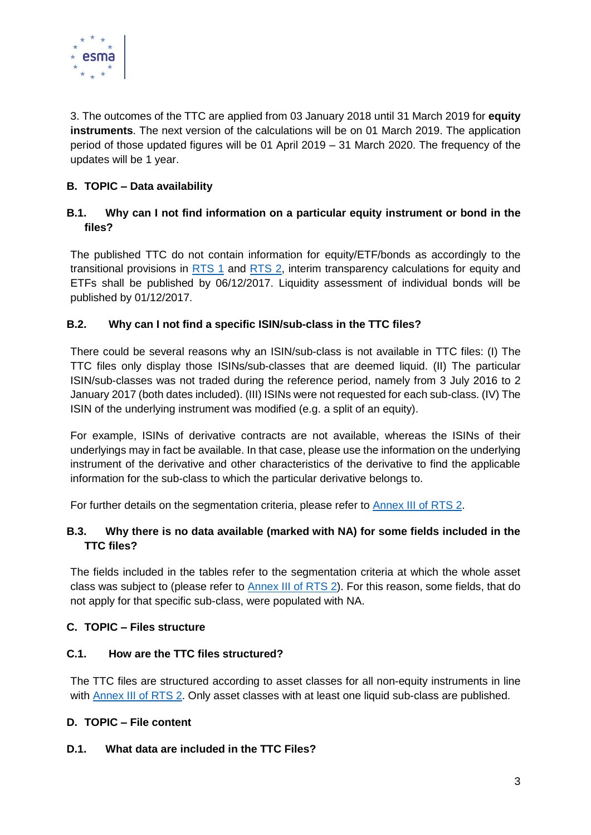

3. The outcomes of the TTC are applied from 03 January 2018 until 31 March 2019 for **equity instruments**. The next version of the calculations will be on 01 March 2019. The application period of those updated figures will be 01 April 2019 – 31 March 2020. The frequency of the updates will be 1 year.

# **B. TOPIC – Data availability**

# **B.1. Why can I not find information on a particular equity instrument or bond in the files?**

The published TTC do not contain information for equity/ETF/bonds as accordingly to the transitional provisions in [RTS](http://ec.europa.eu/finance/securities/docs/isd/mifid/rts/160714-rts-1_en.pdf) 1 and [RTS 2,](http://eur-lex.europa.eu/legal-content/EN/TXT/PDF/?uri=CELEX:32017R0583&from=EN) interim transparency calculations for equity and ETFs shall be published by 06/12/2017. Liquidity assessment of individual bonds will be published by 01/12/2017.

# **B.2. Why can I not find a specific ISIN/sub-class in the TTC files?**

There could be several reasons why an ISIN/sub-class is not available in TTC files: (I) The TTC files only display those ISINs/sub-classes that are deemed liquid. (II) The particular ISIN/sub-classes was not traded during the reference period, namely from 3 July 2016 to 2 January 2017 (both dates included). (III) ISINs were not requested for each sub-class. (IV) The ISIN of the underlying instrument was modified (e.g. a split of an equity).

For example, ISINs of derivative contracts are not available, whereas the ISINs of their underlyings may in fact be available. In that case, please use the information on the underlying instrument of the derivative and other characteristics of the derivative to find the applicable information for the sub-class to which the particular derivative belongs to.

For further details on the segmentation criteria, please refer to [Annex III of RTS 2.](http://eur-lex.europa.eu/legal-content/EN/TXT/PDF/?uri=CELEX:32017R0583&from=EN)

# **B.3. Why there is no data available (marked with NA) for some fields included in the TTC files?**

The fields included in the tables refer to the segmentation criteria at which the whole asset class was subject to (please refer to [Annex III of RTS 2\)](http://eur-lex.europa.eu/legal-content/EN/TXT/PDF/?uri=CELEX:32017R0583&from=EN). For this reason, some fields, that do not apply for that specific sub-class, were populated with NA.

# **C. TOPIC – Files structure**

# **C.1. How are the TTC files structured?**

The TTC files are structured according to asset classes for all non-equity instruments in line with [Annex III of RTS 2.](http://eur-lex.europa.eu/legal-content/EN/TXT/PDF/?uri=CELEX:32017R0583&from=EN) Only asset classes with at least one liquid sub-class are published.

#### **D. TOPIC – File content**

#### **D.1. What data are included in the TTC Files?**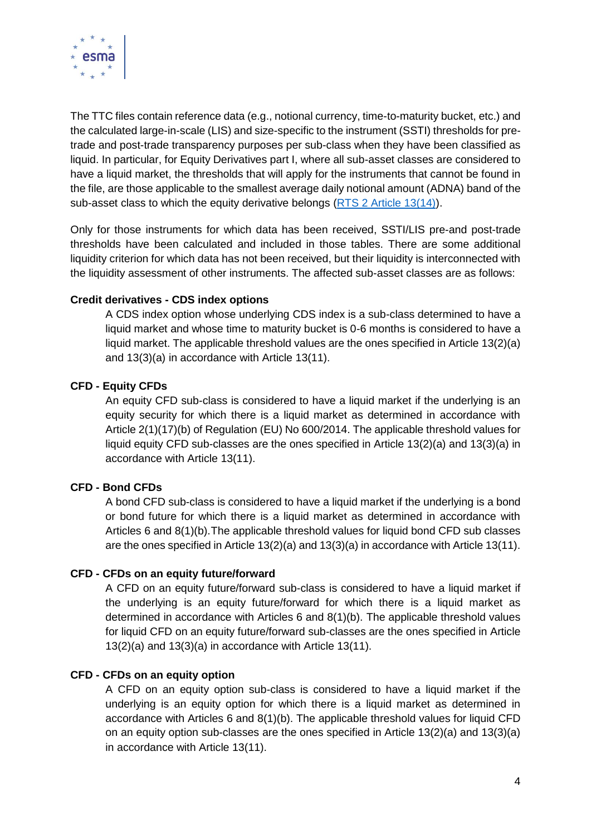

The TTC files contain reference data (e.g., notional currency, time-to-maturity bucket, etc.) and the calculated large-in-scale (LIS) and size-specific to the instrument (SSTI) thresholds for pretrade and post-trade transparency purposes per sub-class when they have been classified as liquid. In particular, for Equity Derivatives part I, where all sub-asset classes are considered to have a liquid market, the thresholds that will apply for the instruments that cannot be found in the file, are those applicable to the smallest average daily notional amount (ADNA) band of the sub-asset class to which the equity derivative belongs [\(RTS 2 Article 13\(14\)\)](http://eur-lex.europa.eu/legal-content/EN/TXT/PDF/?uri=CELEX:32017R0583&from=EN).

Only for those instruments for which data has been received, SSTI/LIS pre-and post-trade thresholds have been calculated and included in those tables. There are some additional liquidity criterion for which data has not been received, but their liquidity is interconnected with the liquidity assessment of other instruments. The affected sub-asset classes are as follows:

#### **Credit derivatives - CDS index options**

A CDS index option whose underlying CDS index is a sub-class determined to have a liquid market and whose time to maturity bucket is 0-6 months is considered to have a liquid market. The applicable threshold values are the ones specified in Article 13(2)(a) and 13(3)(a) in accordance with Article 13(11).

# **CFD - Equity CFDs**

An equity CFD sub-class is considered to have a liquid market if the underlying is an equity security for which there is a liquid market as determined in accordance with Article 2(1)(17)(b) of Regulation (EU) No 600/2014. The applicable threshold values for liquid equity CFD sub-classes are the ones specified in Article 13(2)(a) and 13(3)(a) in accordance with Article 13(11).

# **CFD - Bond CFDs**

A bond CFD sub-class is considered to have a liquid market if the underlying is a bond or bond future for which there is a liquid market as determined in accordance with Articles 6 and 8(1)(b).The applicable threshold values for liquid bond CFD sub classes are the ones specified in Article 13(2)(a) and 13(3)(a) in accordance with Article 13(11).

#### **CFD - CFDs on an equity future/forward**

A CFD on an equity future/forward sub-class is considered to have a liquid market if the underlying is an equity future/forward for which there is a liquid market as determined in accordance with Articles 6 and 8(1)(b). The applicable threshold values for liquid CFD on an equity future/forward sub-classes are the ones specified in Article 13(2)(a) and 13(3)(a) in accordance with Article 13(11).

#### **CFD - CFDs on an equity option**

A CFD on an equity option sub-class is considered to have a liquid market if the underlying is an equity option for which there is a liquid market as determined in accordance with Articles 6 and 8(1)(b). The applicable threshold values for liquid CFD on an equity option sub-classes are the ones specified in Article 13(2)(a) and 13(3)(a) in accordance with Article 13(11).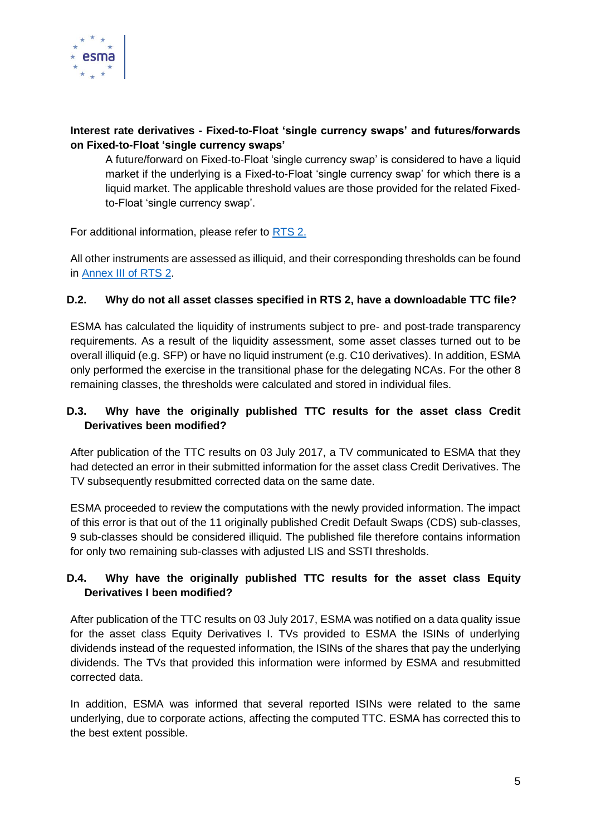

# **Interest rate derivatives - Fixed-to-Float 'single currency swaps' and futures/forwards on Fixed-to-Float 'single currency swaps'**

A future/forward on Fixed-to-Float 'single currency swap' is considered to have a liquid market if the underlying is a Fixed-to-Float 'single currency swap' for which there is a liquid market. The applicable threshold values are those provided for the related Fixedto-Float 'single currency swap'.

For additional information, please refer to [RTS 2.](http://eur-lex.europa.eu/legal-content/EN/TXT/PDF/?uri=CELEX:32017R0583&from=EN)

All other instruments are assessed as illiquid, and their corresponding thresholds can be found in [Annex III of RTS 2.](http://eur-lex.europa.eu/legal-content/EN/TXT/PDF/?uri=CELEX:32017R0583&from=EN)

# **D.2. Why do not all asset classes specified in RTS 2, have a downloadable TTC file?**

ESMA has calculated the liquidity of instruments subject to pre- and post-trade transparency requirements. As a result of the liquidity assessment, some asset classes turned out to be overall illiquid (e.g. SFP) or have no liquid instrument (e.g. C10 derivatives). In addition, ESMA only performed the exercise in the transitional phase for the delegating NCAs. For the other 8 remaining classes, the thresholds were calculated and stored in individual files.

# **D.3. Why have the originally published TTC results for the asset class Credit Derivatives been modified?**

After publication of the TTC results on 03 July 2017, a TV communicated to ESMA that they had detected an error in their submitted information for the asset class Credit Derivatives. The TV subsequently resubmitted corrected data on the same date.

ESMA proceeded to review the computations with the newly provided information. The impact of this error is that out of the 11 originally published Credit Default Swaps (CDS) sub-classes, 9 sub-classes should be considered illiquid. The published file therefore contains information for only two remaining sub-classes with adjusted LIS and SSTI thresholds.

# **D.4. Why have the originally published TTC results for the asset class Equity Derivatives I been modified?**

After publication of the TTC results on 03 July 2017, ESMA was notified on a data quality issue for the asset class Equity Derivatives I. TVs provided to ESMA the ISINs of underlying dividends instead of the requested information, the ISINs of the shares that pay the underlying dividends. The TVs that provided this information were informed by ESMA and resubmitted corrected data.

In addition, ESMA was informed that several reported ISINs were related to the same underlying, due to corporate actions, affecting the computed TTC. ESMA has corrected this to the best extent possible.